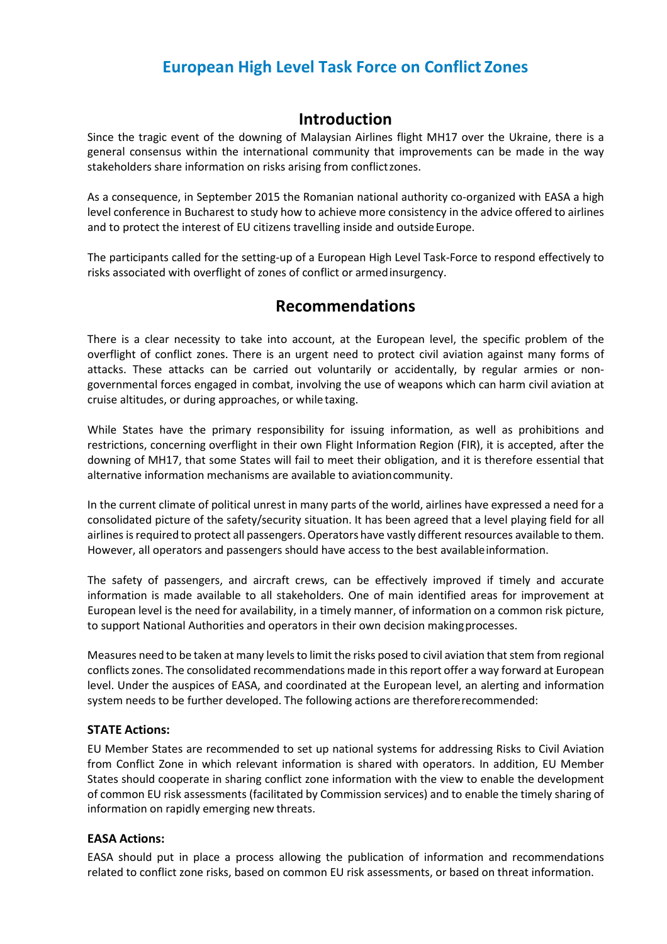# **European High Level Task Force on Conflict Zones**

### **Introduction**

Since the tragic event of the downing of Malaysian Airlines flight MH17 over the Ukraine, there is a general consensus within the international community that improvements can be made in the way stakeholders share information on risks arising from conflictzones.

As a consequence, in September 2015 the Romanian national authority co-organized with EASA a high level conference in Bucharest to study how to achieve more consistency in the advice offered to airlines and to protect the interest of EU citizens travelling inside and outside Europe.

The participants called for the setting-up of a European High Level Task-Force to respond effectively to risks associated with overflight of zones of conflict or armedinsurgency.

## **Recommendations**

There is a clear necessity to take into account, at the European level, the specific problem of the overflight of conflict zones. There is an urgent need to protect civil aviation against many forms of attacks. These attacks can be carried out voluntarily or accidentally, by regular armies or nongovernmental forces engaged in combat, involving the use of weapons which can harm civil aviation at cruise altitudes, or during approaches, or while taxing.

While States have the primary responsibility for issuing information, as well as prohibitions and restrictions, concerning overflight in their own Flight Information Region (FIR), it is accepted, after the downing of MH17, that some States will fail to meet their obligation, and it is therefore essential that alternative information mechanisms are available to aviationcommunity.

In the current climate of political unrest in many parts of the world, airlines have expressed a need for a consolidated picture of the safety/security situation. It has been agreed that a level playing field for all airlines is required to protect all passengers. Operators have vastly different resources available to them. However, all operators and passengers should have access to the best availableinformation.

The safety of passengers, and aircraft crews, can be effectively improved if timely and accurate information is made available to all stakeholders. One of main identified areas for improvement at European level is the need for availability, in a timely manner, of information on a common risk picture, to support National Authorities and operators in their own decision makingprocesses.

Measures need to be taken at many levels to limit the risks posed to civil aviation that stem from regional conflicts zones. The consolidated recommendations made in this report offer a way forward at European level. Under the auspices of EASA, and coordinated at the European level, an alerting and information system needs to be further developed. The following actions are thereforerecommended:

#### **STATE Actions:**

EU Member States are recommended to set up national systems for addressing Risks to Civil Aviation from Conflict Zone in which relevant information is shared with operators. In addition, EU Member States should cooperate in sharing conflict zone information with the view to enable the development of common EU risk assessments (facilitated by Commission services) and to enable the timely sharing of information on rapidly emerging new threats.

#### **EASA Actions:**

EASA should put in place a process allowing the publication of information and recommendations related to conflict zone risks, based on common EU risk assessments, or based on threat information.